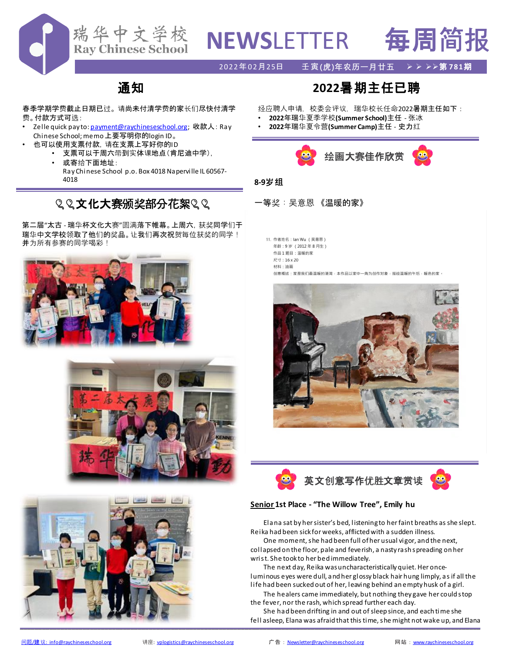

# **NEWS**LETTER 每周简报

2022年02月25日 壬寅**(虎)年农历一月廿五** ➢ ➢ ➢➢第 **781**期

# 通知

春季学期学费截止日期已过。 请尚未付清学费的家长们尽快付清学 费。付款方式可选:

- Zelle quick pay to: <u>payment@raychineseschool.org</u>; 收款人 : Ray Chinese School; memo上要写明你的login ID。
	- 也可以使用支票付款,请在支票上写好你的ID
		- 支票可以于周六带到实体课地点(肯尼迪中学),
		- 或寄给下面地址: RayChinese School p.o. Box 4018 Naperville IL 60567- 4018

# 22文化大赛颁奖部分花絮22

第二届"太古 - 瑞华杯文化大赛"圆满落下帷幕。上周六,获奖同学们于 瑞华中文学校领取了他们的奖品。让我们再次祝贺每位获奖的同学! 并为所有参赛的同学喝彩!







# **2022**暑期主任已聘

经应聘人申请,校委会评议,瑞华校长任命2022暑期主任如下:

- **2022**年瑞华夏季学校**(Summer School)**主任 张冰
- **2022**年瑞华夏令营**(Summer Camp)**主任 史力红



## **8-9**岁组

- 一等奖:吴意恩 《温暖的家》
	- 11. 作者姓名: lan Wu (吴意恩) 年龄: 9岁 (2012年8月生)
	- 作品1题目:温暖的家
	- 尺寸: 16 x 20 材料:油画

创意概述:家是我们最温暖的港湾·本作品以家中一角为创作对象·描绘温暖的午后·暖色的家·





## **Senior 1st Place - "The Willow Tree", Emily hu**

Elana sat by her sister's bed, listening to her faint breaths as she slept. Reika had been sick for weeks, afflicted with a sudden illness.

One moment, she had been full of her usual vigor, and the next, collapsed on the floor, pale and feverish, a nasty rash spreading on her wrist. She took to her bed immediately.

The next day, Reika was uncharacteristically quiet. Her onceluminous eyes were dull, and her glossy black hair hung limply, as if all the life had been sucked out of her, leaving behind an empty husk of a girl.

The healers came immediately, but nothing they gave her could stop the fever, nor the rash, which spread further each day.

She had been drifting in and out of sleep since, and each time she